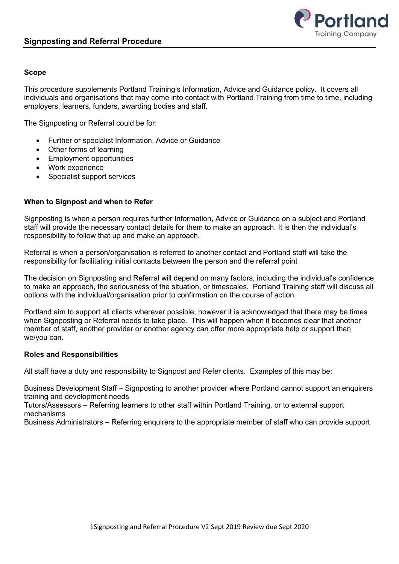

## **Scope**

This procedure supplements Portland Training's Information, Advice and Guidance policy. It covers all individuals and organisations that may come into contact with Portland Training from time to time, including employers, learners, funders, awarding bodies and staff.

The Signposting or Referral could be for:

- Further or specialist Information, Advice or Guidance
- Other forms of learning
- Employment opportunities
- Work experience
- Specialist support services

## **When to Signpost and when to Refer**

Signposting is when a person requires further Information, Advice or Guidance on a subject and Portland staff will provide the necessary contact details for them to make an approach. It is then the individual's responsibility to follow that up and make an approach.

Referral is when a person/organisation is referred to another contact and Portland staff will take the responsibility for facilitating initial contacts between the person and the referral point

The decision on Signposting and Referral will depend on many factors, including the individual's confidence to make an approach, the seriousness of the situation, or timescales. Portland Training staff will discuss all options with the individual/organisation prior to confirmation on the course of action.

Portland aim to support all clients wherever possible, however it is acknowledged that there may be times when Signposting or Referral needs to take place. This will happen when it becomes clear that another member of staff, another provider or another agency can offer more appropriate help or support than we/you can.

#### **Roles and Responsibilities**

All staff have a duty and responsibility to Signpost and Refer clients. Examples of this may be:

Business Development Staff – Signposting to another provider where Portland cannot support an enquirers training and development needs

Tutors/Assessors – Referring learners to other staff within Portland Training, or to external support mechanisms

Business Administrators – Referring enquirers to the appropriate member of staff who can provide support